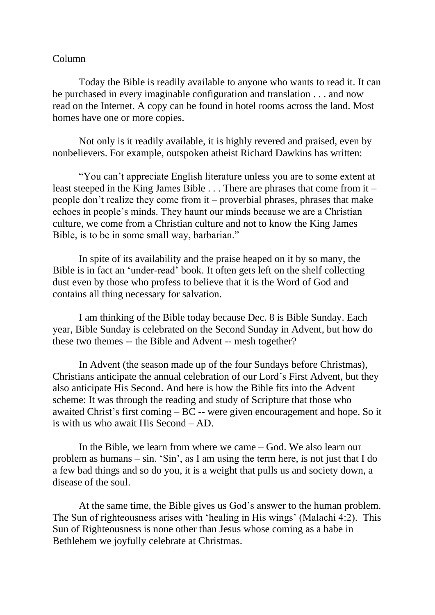## Column

Today the Bible is readily available to anyone who wants to read it. It can be purchased in every imaginable configuration and translation . . . and now read on the Internet. A copy can be found in hotel rooms across the land. Most homes have one or more copies.

Not only is it readily available, it is highly revered and praised, even by nonbelievers. For example, outspoken atheist Richard Dawkins has written:

"You can't appreciate English literature unless you are to some extent at least steeped in the King James Bible . . . There are phrases that come from it – people don't realize they come from it – proverbial phrases, phrases that make echoes in people's minds. They haunt our minds because we are a Christian culture, we come from a Christian culture and not to know the King James Bible, is to be in some small way, barbarian."

In spite of its availability and the praise heaped on it by so many, the Bible is in fact an 'under-read' book. It often gets left on the shelf collecting dust even by those who profess to believe that it is the Word of God and contains all thing necessary for salvation.

I am thinking of the Bible today because Dec. 8 is Bible Sunday. Each year, Bible Sunday is celebrated on the Second Sunday in Advent, but how do these two themes -- the Bible and Advent -- mesh together?

In Advent (the season made up of the four Sundays before Christmas), Christians anticipate the annual celebration of our Lord's First Advent, but they also anticipate His Second. And here is how the Bible fits into the Advent scheme: It was through the reading and study of Scripture that those who awaited Christ's first coming – BC -- were given encouragement and hope. So it is with us who await His Second – AD.

In the Bible, we learn from where we came – God. We also learn our problem as humans – sin. 'Sin', as I am using the term here, is not just that I do a few bad things and so do you, it is a weight that pulls us and society down, a disease of the soul.

At the same time, the Bible gives us God's answer to the human problem. The Sun of righteousness arises with 'healing in His wings' (Malachi 4:2). This Sun of Righteousness is none other than Jesus whose coming as a babe in Bethlehem we joyfully celebrate at Christmas.